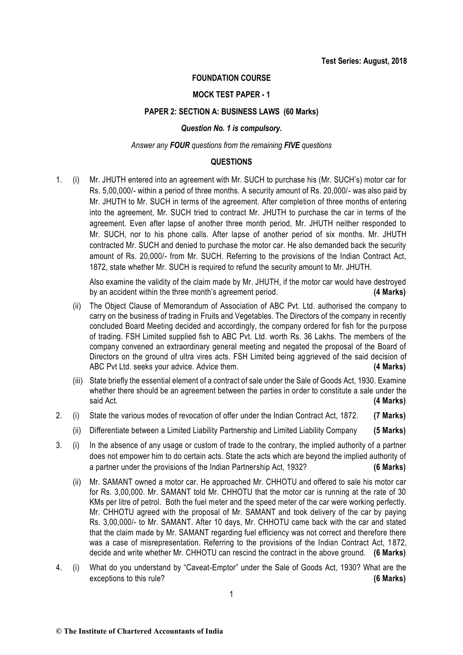## **FOUNDATION COURSE**

### **MOCK TEST PAPER - 1**

### **PAPER 2: SECTION A: BUSINESS LAWS (60 Marks)**

### *Question No. 1 is compulsory.*

#### *Answer any FOUR questions from the remaining FIVE questions*

#### **QUESTIONS**

1. (i) Mr. JHUTH entered into an agreement with Mr. SUCH to purchase his (Mr. SUCH's) motor car for Rs. 5,00,000/- within a period of three months. A security amount of Rs. 20,000/- was also paid by Mr. JHUTH to Mr. SUCH in terms of the agreement. After completion of three months of entering into the agreement, Mr. SUCH tried to contract Mr. JHUTH to purchase the car in terms of the agreement. Even after lapse of another three month period, Mr. JHUTH neither responded to Mr. SUCH, nor to his phone calls. After lapse of another period of six months. Mr. JHUTH contracted Mr. SUCH and denied to purchase the motor car. He also demanded back the security amount of Rs. 20,000/- from Mr. SUCH. Referring to the provisions of the Indian Contract Act, 1872, state whether Mr. SUCH is required to refund the security amount to Mr. JHUTH.

Also examine the validity of the claim made by Mr. JHUTH, if the motor car would have destroyed by an accident within the three month's agreement period. **(4 Marks)**

- (ii) The Object Clause of Memorandum of Association of ABC Pvt. Ltd. authorised the company to carry on the business of trading in Fruits and Vegetables. The Directors of the company in recently concluded Board Meeting decided and accordingly, the company ordered for fish for the pu rpose of trading. FSH Limited supplied fish to ABC Pvt. Ltd. worth Rs. 36 Lakhs. The members of the company convened an extraordinary general meeting and negated the proposal of the Board of Directors on the ground of ultra vires acts. FSH Limited being aggrieved of the said decision of ABC Pvt Ltd. seeks your advice. Advice them. **(4 Marks)**
- (iii) State briefly the essential element of a contract of sale under the Sale of Goods Act, 1930. Examine whether there should be an agreement between the parties in order to constitute a sale under the said Act. **(4 Marks)**
- 2. (i) State the various modes of revocation of offer under the Indian Contract Act, 1872. **(7 Marks)**
	- (ii) Differentiate between a Limited Liability Partnership and Limited Liability Company **(5 Marks)**
- 3. (i) In the absence of any usage or custom of trade to the contrary, the implied authority of a partner does not empower him to do certain acts. State the acts which are beyond the implied authority of a partner under the provisions of the Indian Partnership Act, 1932? **(6 Marks)**
	- (ii) Mr. SAMANT owned a motor car. He approached Mr. CHHOTU and offered to sale his motor car for Rs. 3,00,000. Mr. SAMANT told Mr. CHHOTU that the motor car is running at the rate of 30 KMs per litre of petrol. Both the fuel meter and the speed meter of the car were working perfectly. Mr. CHHOTU agreed with the proposal of Mr. SAMANT and took delivery of the car by paying Rs. 3,00,000/- to Mr. SAMANT. After 10 days, Mr. CHHOTU came back with the car and stated that the claim made by Mr. SAMANT regarding fuel efficiency was not correct and therefore there was a case of misrepresentation. Referring to the provisions of the Indian Contract Act, 1872, decide and write whether Mr. CHHOTU can rescind the contract in the above ground. **(6 Marks)**
- 4. (i) What do you understand by "Caveat-Emptor" under the Sale of Goods Act, 1930? What are the exceptions to this rule? **(6 Marks)**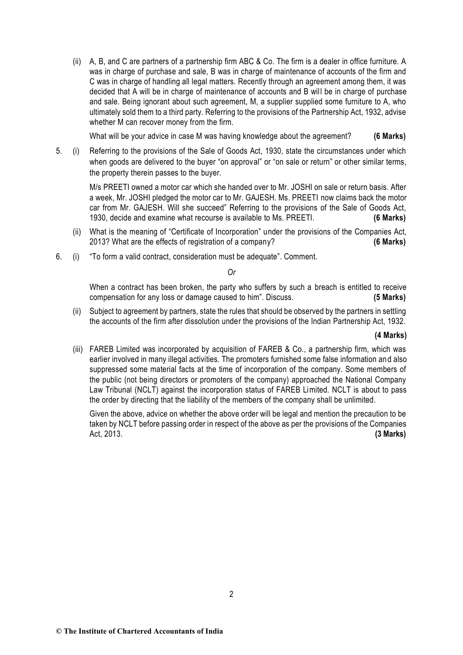(ii) A, B, and C are partners of a partnership firm ABC & Co. The firm is a dealer in office furniture. A was in charge of purchase and sale, B was in charge of maintenance of accounts of the firm and C was in charge of handling all legal matters. Recently through an agreement among them, it was decided that A will be in charge of maintenance of accounts and B will be in charge of purchase and sale. Being ignorant about such agreement, M, a supplier supplied some furniture to A, who ultimately sold them to a third party. Referring to the provisions of the Partnership Act, 1932, advise whether M can recover money from the firm.

What will be your advice in case M was having knowledge about the agreement? **(6 Marks)**

5. (i) Referring to the provisions of the Sale of Goods Act, 1930, state the circumstances under which when goods are delivered to the buver "on approval" or "on sale or return" or other similar terms, the property therein passes to the buyer.

M/s PREETI owned a motor car which she handed over to Mr. JOSHI on sale or return basis. After a week, Mr. JOSHI pledged the motor car to Mr. GAJESH. Ms. PREETI now claims back the motor car from Mr. GAJESH. Will she succeed" Referring to the provisions of the Sale of Goods Act, 1930, decide and examine what recourse is available to Ms. PREETI. **(6 Marks)**

- (ii) What is the meaning of "Certificate of Incorporation" under the provisions of the Companies Act, 2013? What are the effects of registration of a company? **(6 Marks)**
- 6. (i) "To form a valid contract, consideration must be adequate". Comment.

#### *Or*

When a contract has been broken, the party who suffers by such a breach is entitled to receive compensation for any loss or damage caused to him". Discuss. **(5 Marks)**

(ii) Subject to agreement by partners, state the rules that should be observed by the partners in settling the accounts of the firm after dissolution under the provisions of the Indian Partnership Act, 1932.

#### **(4 Marks)**

(iii) FAREB Limited was incorporated by acquisition of FAREB & Co., a partnership firm, which was earlier involved in many illegal activities. The promoters furnished some false information and also suppressed some material facts at the time of incorporation of the company. Some members of the public (not being directors or promoters of the company) approached the National Company Law Tribunal (NCLT) against the incorporation status of FAREB Limited. NCLT is about to pass the order by directing that the liability of the members of the company shall be unlimited.

Given the above, advice on whether the above order will be legal and mention the precaution to be taken by NCLT before passing order in respect of the above as per the provisions of the Companies Act, 2013. **(3 Marks)**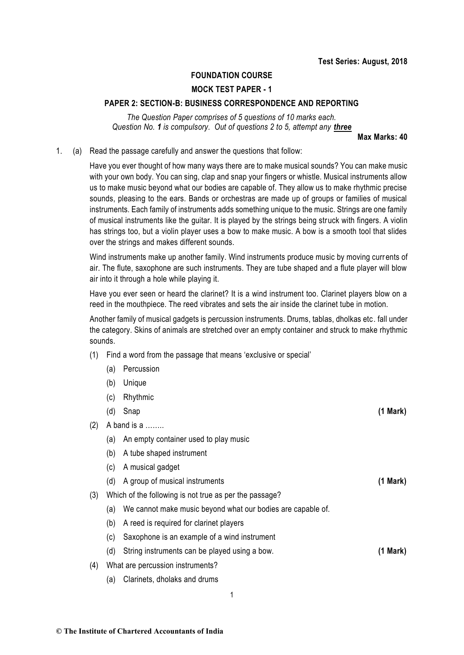## **FOUNDATION COURSE**

# **MOCK TEST PAPER - 1**

#### **PAPER 2: SECTION-B: BUSINESS CORRESPONDENCE AND REPORTING**

*The Question Paper comprises of 5 questions of 10 marks each. Question No. 1 is compulsory. Out of questions 2 to 5, attempt any three*

**Max Marks: 40**

1. (a) Read the passage carefully and answer the questions that follow:

Have you ever thought of how many ways there are to make musical sounds? You can make music with your own body. You can sing, clap and snap your fingers or whistle. Musical instruments allow us to make music beyond what our bodies are capable of. They allow us to make rhythmic precise sounds, pleasing to the ears. Bands or orchestras are made up of groups or families of musical instruments. Each family of instruments adds something unique to the music. Strings are one family of musical instruments like the guitar. It is played by the strings being struck with fingers. A violin has strings too, but a violin player uses a bow to make music. A bow is a smooth tool that slides over the strings and makes different sounds.

Wind instruments make up another family. Wind instruments produce music by moving curr ents of air. The flute, saxophone are such instruments. They are tube shaped and a flute player will blow air into it through a hole while playing it.

Have you ever seen or heard the clarinet? It is a wind instrument too. Clarinet players blow on a reed in the mouthpiece. The reed vibrates and sets the air inside the clarinet tube in motion.

Another family of musical gadgets is percussion instruments. Drums, tablas, dholkas etc. fall under the category. Skins of animals are stretched over an empty container and struck to make rhythmic sounds.

- (1) Find a word from the passage that means 'exclusive or special'
	- (a) Percussion
	- (b) Unique
	- (c) Rhythmic
	- (d) Snap **(1 Mark)**

(2) A band is a ........

- (a) An empty container used to play music
- (b) A tube shaped instrument
- (c) A musical gadget
- (d) A group of musical instruments **(1 Mark)**
- (3) Which of the following is not true as per the passage?
	- (a) We cannot make music beyond what our bodies are capable of.
	- (b) A reed is required for clarinet players
	- (c) Saxophone is an example of a wind instrument
	- (d) String instruments can be played using a bow. **(1 Mark)**
- (4) What are percussion instruments?
	- (a) Clarinets, dholaks and drums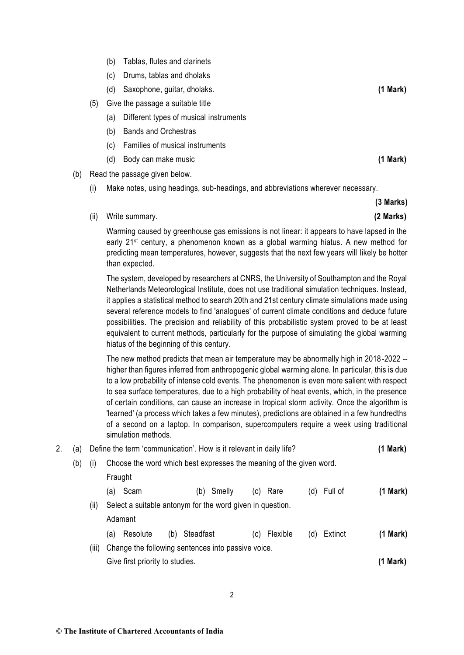- (b) Tablas, flutes and clarinets
- (c) Drums, tablas and dholaks
- (d) Saxophone, guitar, dholaks. **(1 Mark)**
- (5) Give the passage a suitable title
	- (a) Different types of musical instruments
	- (b) Bands and Orchestras
	- (c) Families of musical instruments
	- (d) Body can make music **(1 Mark)**
- (b) Read the passage given below.
	- (i) Make notes, using headings, sub-headings, and abbreviations wherever necessary.
	- (ii) Write summary. **(2 Marks)**

Warming caused by greenhouse gas emissions is not linear: it appears to have lapsed in the early 21st century, a phenomenon known as a global warming hiatus. A new method for predicting mean temperatures, however, suggests that the next few years will likely be hotter than expected.

The system, developed by researchers at CNRS, the University of Southampton and the Royal Netherlands Meteorological Institute, does not use traditional simulation techniques. Instead, it applies a statistical method to search 20th and 21st century climate simulations made using several reference models to find 'analogues' of current climate conditions and deduce future possibilities. The precision and reliability of this probabilistic system proved to be at least equivalent to current methods, particularly for the purpose of simulating the global warming hiatus of the beginning of this century.

The new method predicts that mean air temperature may be abnormally high in 2018 -2022 - higher than figures inferred from anthropogenic global warming alone. In particular, this is due to a low probability of intense cold events. The phenomenon is even more salient with respect to sea surface temperatures, due to a high probability of heat events, which, in the presence of certain conditions, can cause an increase in tropical storm activity. Once the algorithm is 'learned' (a process which takes a few minutes), predictions are obtained in a few hundredths of a second on a laptop. In comparison, supercomputers require a week using traditional simulation methods.

| 2. | a)  | Define the term 'communication'. How is it relevant in daily life? |                                                                     |               |                 |     |         |               |  |
|----|-----|--------------------------------------------------------------------|---------------------------------------------------------------------|---------------|-----------------|-----|---------|---------------|--|
|    | (b) | (i)                                                                | Choose the word which best expresses the meaning of the given word. |               |                 |     |         |               |  |
|    |     |                                                                    | Fraught                                                             |               |                 |     |         |               |  |
|    |     |                                                                    | Scam<br>(a)                                                         | Smelly<br>(b) | Rare<br>(C)     | (d) | Full of | (1 Mark)      |  |
|    |     | (ii)                                                               | Select a suitable antonym for the word given in question.           |               |                 |     |         |               |  |
|    |     |                                                                    | Adamant                                                             |               |                 |     |         |               |  |
|    |     |                                                                    | Resolute<br>(b)<br>(a)                                              | Steadfast     | Flexible<br>(C) | (d) | Extinct | $(1$ Mark $)$ |  |
|    |     | (iii)                                                              | Change the following sentences into passive voice.                  |               |                 |     |         |               |  |
|    |     |                                                                    | Give first priority to studies.                                     |               |                 |     |         | (1 Mark)      |  |
|    |     |                                                                    |                                                                     |               |                 |     |         |               |  |

**(3 Marks)**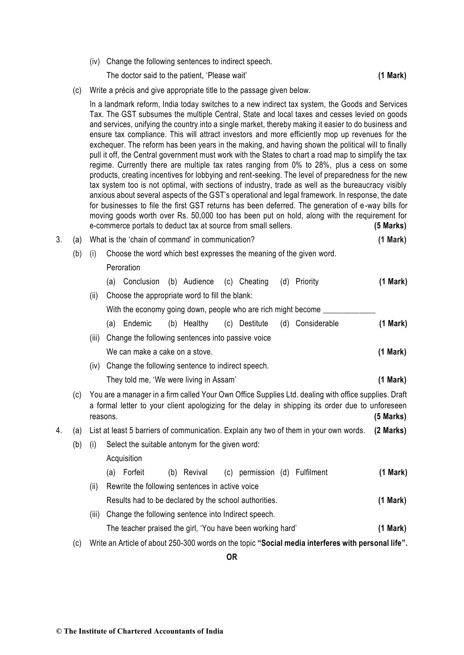(iv) Change the following sentences to indirect speech.

The doctor said to the patient, 'Please wait' **(1 Mark)**

(c) Write a précis and give appropriate title to the passage given below.

In a landmark reform, India today switches to a new indirect tax system, [the Goods and Services](http://www.thehindu.com/business/Economy/what-is-gst-and-how-will-it-affect-you-all-your-questions-answered/article19184910.ece)  [Tax.](http://www.thehindu.com/business/Economy/what-is-gst-and-how-will-it-affect-you-all-your-questions-answered/article19184910.ece) The GST subsumes the multiple Central, State and local taxes and cesses levied on goods and services, unifying the country into a single market, thereby making it easier to do business and ensure tax compliance. This will attract investors and more efficiently mop up revenues for the exchequer. The reform has been years in the making, and having shown the political will to finally pull it off, the Central government must work with the States to chart a road map to simplify the tax regime. Currently there are multiple tax rates ranging from 0% to 28%, plus a cess on some products, creating incentives for lobbying and rent-seeking. The level of preparedness for the new tax system too is not optimal, with sections of industry, trade as well as the bureaucracy visibly anxious about several aspects of the GST's operational and legal framework. In response, the date for businesses to file the first GST returns has been deferred. The generation of e -way bills for moving goods worth over Rs. 50,000 too has been put on hold, along with the requirement for e-commerce portals to deduct tax at source from small sellers. **(5 Marks)**

|  | 3. (a) What is the 'chain of command' in communication? | (1 Mark)                                                            |  |
|--|---------------------------------------------------------|---------------------------------------------------------------------|--|
|  |                                                         | Choose the word which best expresses the meaning of the given word. |  |

#### **Peroration**

|  | (a) Conclusion (b) Audience (c) Cheating                      |  |  |  |  |  | (d) Priority                               | (1 Mark)    |
|--|---------------------------------------------------------------|--|--|--|--|--|--------------------------------------------|-------------|
|  | (ii) Choose the appropriate word to fill the blank:           |  |  |  |  |  |                                            |             |
|  | With the economy going down, people who are rich might become |  |  |  |  |  |                                            |             |
|  | $(n)$ $\Box$                                                  |  |  |  |  |  | (h) Hoolthu (o) Dootituto (d) Considerable | $(4 M - 1)$ |

| ια) Επισθηπο                                            | (D) neallify |  | ic) Desiliule (u) considerable | (I MAIN) |  |  |  |  |  |
|---------------------------------------------------------|--------------|--|--------------------------------|----------|--|--|--|--|--|
| (iii) Change the following sentences into passive voice |              |  |                                |          |  |  |  |  |  |
| (1 Mark)<br>We can make a cake on a stove.              |              |  |                                |          |  |  |  |  |  |

- (iv) Change the following sentence to indirect speech.
	- They told me, 'We were living in Assam' **(1 Mark)**
- (c) You are a manager in a firm called Your Own Office Supplies Ltd. dealing with office supplies. Draft a formal letter to your client apologizing for the delay in shipping its order due to unforeseen reasons. **(5 Marks)**
- 4. (a) List at least 5 barriers of communication. Explain any two of them in your own words. **(2 Marks)**
	- (b) (i) Select the suitable antonym for the given word:

## Acquisition

- (a) Forfeit (b) Revival (c) permission (d) Fulfilment **(1 Mark)**
- (ii) Rewrite the following sentences in active voice Results had to be declared by the school authorities. **(1 Mark)**
- (iii) Change the following sentence into Indirect speech. The teacher praised the girl, 'You have been working hard' **(1 Mark)**
- (c) Write an Article of about 250-300 words on the topic **"Social media interferes with personal life".**